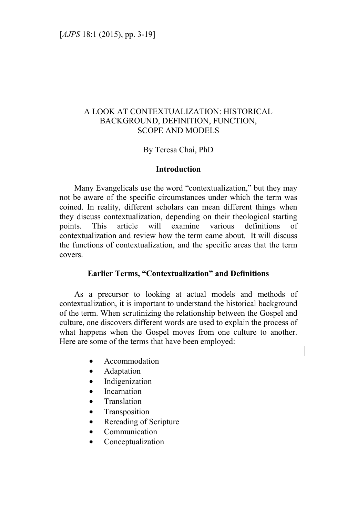# A LOOK AT CONTEXTUALIZATION: HISTORICAL BACKGROUND, DEFINITION, FUNCTION, SCOPE AND MODELS

## By Teresa Chai, PhD

### **Introduction**

Many Evangelicals use the word "contextualization," but they may not be aware of the specific circumstances under which the term was coined. In reality, different scholars can mean different things when they discuss contextualization, depending on their theological starting points. This article will examine various definitions of contextualization and review how the term came about. It will discuss the functions of contextualization, and the specific areas that the term covers.

### **Earlier Terms, "Contextualization" and Definitions**

As a precursor to looking at actual models and methods of contextualization, it is important to understand the historical background of the term. When scrutinizing the relationship between the Gospel and culture, one discovers different words are used to explain the process of what happens when the Gospel moves from one culture to another. Here are some of the terms that have been employed:

- Accommodation
- Adaptation
- Indigenization
- Incarnation
- **Translation**
- Transposition
- Rereading of Scripture
- Communication
- Conceptualization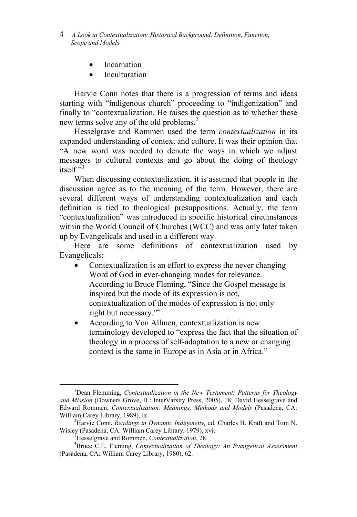- 4 *A Look at Contextualization: Historical Background, Definition, Function, Scope and Models*
	- Incarnation
	- Inculturation<sup>1</sup>

Harvie Conn notes that there is a progression of terms and ideas starting with "indigenous church" proceeding to "indigenization" and finally to "contextualization. He raises the question as to whether these new terms solve any of the old problems.<sup>2</sup>

Hesselgrave and Rommen used the term *contextualization* in its expanded understanding of context and culture. It was their opinion that "A new word was needed to denote the ways in which we adjust messages to cultural contexts and go about the doing of theology itself $"3$ 

When discussing contextualization, it is assumed that people in the discussion agree as to the meaning of the term. However, there are several different ways of understanding contextualization and each definition is tied to theological presuppositions. Actually, the term "contextualization" was introduced in specific historical circumstances within the World Council of Churches (WCC) and was only later taken up by Evangelicals and used in a different way.

Here are some definitions of contextualization used by Evangelicals:

- Contextualization is an effort to express the never changing Word of God in ever-changing modes for relevance. According to Bruce Fleming, "Since the Gospel message is inspired but the mode of its expression is not, contextualization of the modes of expression is not only right but necessary."<sup>4</sup>
- According to Von Allmen, contextualization is new terminology developed to "express the fact that the situation of theology in a process of self-adaptation to a new or changing context is the same in Europe as in Asia or in Africa."

<sup>&</sup>lt;sup>1</sup>Dean Flemming, *Contextualization in the New Testament: Patterns for Theology and Mission* (Downers Grove, IL: InterVarsity Press, 2005), 18; David Hesselgrave and Edward Rommen, *Contextualization: Meanings, Methods and Models* (Pasadena, CA: William Carey Library, 1989), ix.

Harvie Conn, *Readings in Dynamic Indigeneity,* ed. Charles H. Kraft and Tom N. Wisley (Pasadena, CA: William Carey Library, 1979), xvi. 3

Hesselgrave and Rommen, *Contextualization*, 28.

<sup>4</sup> Bruce C.E. Fleming, *Contextualization of Theology: An Evangelical Assessment* (Pasadena, CA: William Carey Library, 1980), 62.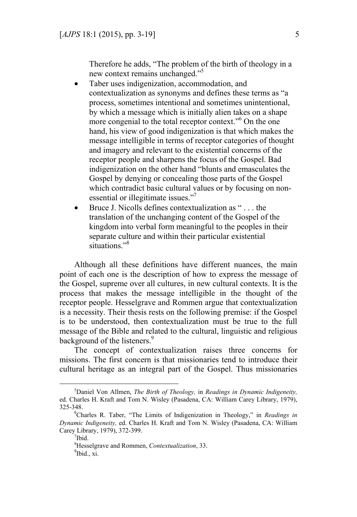Therefore he adds, "The problem of the birth of theology in a new context remains unchanged."5

- Taber uses indigenization, accommodation, and contextualization as synonyms and defines these terms as "a process, sometimes intentional and sometimes unintentional, by which a message which is initially alien takes on a shape more congenial to the total receptor context."<sup>6</sup> On the one hand, his view of good indigenization is that which makes the message intelligible in terms of receptor categories of thought and imagery and relevant to the existential concerns of the receptor people and sharpens the focus of the Gospel. Bad indigenization on the other hand "blunts and emasculates the Gospel by denying or concealing those parts of the Gospel which contradict basic cultural values or by focusing on nonessential or illegitimate issues."<sup>7</sup>
- Bruce J. Nicolls defines contextualization as " . . . the translation of the unchanging content of the Gospel of the kingdom into verbal form meaningful to the peoples in their separate culture and within their particular existential situations."<sup>8</sup>

Although all these definitions have different nuances, the main point of each one is the description of how to express the message of the Gospel, supreme over all cultures, in new cultural contexts. It is the process that makes the message intelligible in the thought of the receptor people. Hesselgrave and Rommen argue that contextualization is a necessity. Their thesis rests on the following premise: if the Gospel is to be understood, then contextualization must be true to the full message of the Bible and related to the cultural, linguistic and religious background of the listeners.<sup>9</sup>

The concept of contextualization raises three concerns for missions. The first concern is that missionaries tend to introduce their cultural heritage as an integral part of the Gospel. Thus missionaries

<sup>5</sup> Daniel Von Allmen, *The Birth of Theology,* in *Readings in Dynamic Indigeneity,*  ed. Charles H. Kraft and Tom N. Wisley (Pasadena, CA: William Carey Library, 1979), 325-348.

<sup>6</sup> Charles R. Taber, "The Limits of Indigenization in Theology," in *Readings in Dynamic Indigeneity,* ed. Charles H. Kraft and Tom N. Wisley (Pasadena, CA: William Carey Library, 1979), 372-399.

<sup>7</sup> Ibid.

<sup>8</sup> Hesselgrave and Rommen, *Contextualization*, 33. <sup>9</sup>Ibid., xi.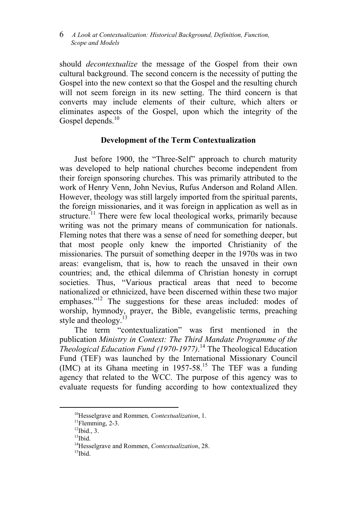should *decontextualize* the message of the Gospel from their own cultural background. The second concern is the necessity of putting the Gospel into the new context so that the Gospel and the resulting church will not seem foreign in its new setting. The third concern is that converts may include elements of their culture, which alters or eliminates aspects of the Gospel, upon which the integrity of the Gospel depends.<sup>10</sup>

## **Development of the Term Contextualization**

Just before 1900, the "Three-Self" approach to church maturity was developed to help national churches become independent from their foreign sponsoring churches. This was primarily attributed to the work of Henry Venn, John Nevius, Rufus Anderson and Roland Allen. However, theology was still largely imported from the spiritual parents, the foreign missionaries, and it was foreign in application as well as in structure.<sup>11</sup> There were few local theological works, primarily because writing was not the primary means of communication for nationals. Fleming notes that there was a sense of need for something deeper, but that most people only knew the imported Christianity of the missionaries. The pursuit of something deeper in the 1970s was in two areas: evangelism, that is, how to reach the unsaved in their own countries; and, the ethical dilemma of Christian honesty in corrupt societies. Thus, "Various practical areas that need to become nationalized or ethnicized, have been discerned within these two major emphases."<sup>12</sup> The suggestions for these areas included: modes of worship, hymnody, prayer, the Bible, evangelistic terms, preaching style and theology.<sup>1</sup>

The term "contextualization" was first mentioned in the publication *Ministry in Context: The Third Mandate Programme of the Theological Education Fund (1970-1977)*. 14 The Theological Education Fund (TEF) was launched by the International Missionary Council  $(IMC)$  at its Ghana meeting in 1957-58.<sup>15</sup> The TEF was a funding agency that related to the WCC. The purpose of this agency was to evaluate requests for funding according to how contextualized they

<sup>&</sup>lt;sup>10</sup>Hesselgrave and Rommen, *Contextualization*, 1.<sup>11</sup>Flemming, 2-3.

 $12$ Ibid., 3.

 $13$ Ibid.

<sup>&</sup>lt;sup>14</sup>Hesselgrave and Rommen, *Contextualization*, 28.<br><sup>15</sup>Ibid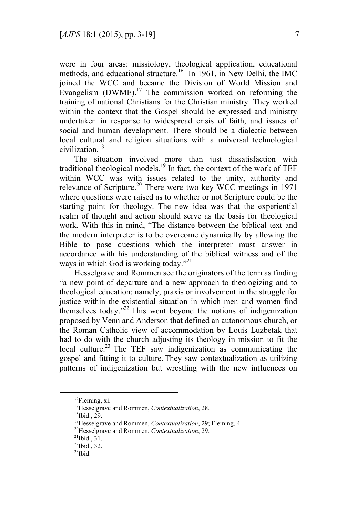were in four areas: missiology, theological application, educational methods, and educational structure.<sup>16</sup> In 1961, in New Delhi, the IMC joined the WCC and became the Division of World Mission and Evangelism  $(DWME)$ .<sup>17</sup> The commission worked on reforming the training of national Christians for the Christian ministry. They worked within the context that the Gospel should be expressed and ministry undertaken in response to widespread crisis of faith, and issues of social and human development. There should be a dialectic between local cultural and religion situations with a universal technological civilization<sup>18</sup>

The situation involved more than just dissatisfaction with traditional theological models.<sup>19</sup> In fact, the context of the work of TEF within WCC was with issues related to the unity, authority and relevance of Scripture.<sup>20</sup> There were two key WCC meetings in 1971 where questions were raised as to whether or not Scripture could be the starting point for theology. The new idea was that the experiential realm of thought and action should serve as the basis for theological work. With this in mind, "The distance between the biblical text and the modern interpreter is to be overcome dynamically by allowing the Bible to pose questions which the interpreter must answer in accordance with his understanding of the biblical witness and of the ways in which God is working today."<sup>21</sup>

Hesselgrave and Rommen see the originators of the term as finding "a new point of departure and a new approach to theologizing and to theological education: namely, praxis or involvement in the struggle for justice within the existential situation in which men and women find themselves today. $^{222}$  This went beyond the notions of indigenization proposed by Venn and Anderson that defined an autonomous church, or the Roman Catholic view of accommodation by Louis Luzbetak that had to do with the church adjusting its theology in mission to fit the local culture.<sup>23</sup> The TEF saw indigenization as communicating the gospel and fitting it to culture. They saw contextualization as utilizing patterns of indigenization but wrestling with the new influences on

<sup>&</sup>lt;sup>16</sup>Fleming, xi.

<sup>&</sup>lt;sup>17</sup>Hesselgrave and Rommen, *Contextualization*, 28.<br><sup>18</sup>Ibid., 29.

<sup>&</sup>lt;sup>19</sup>Hesselgrave and Rommen, *Contextualization*, 29; Fleming, 4. <sup>20</sup>Hesselgrave and Rommen, *Contextualization*, 29. <sup>21</sup>Ibid. 31.

 $^{22}$ Ibid., 32.

 $^{23}$ Ibid.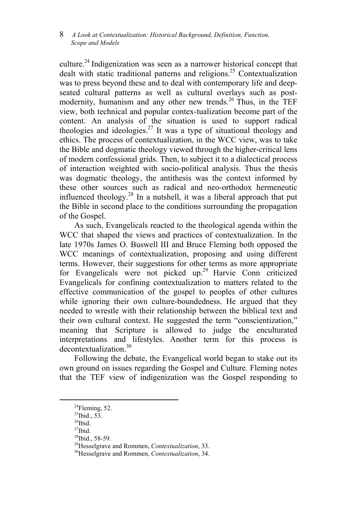culture.24 Indigenization was seen as a narrower historical concept that dealt with static traditional patterns and religions.<sup>25</sup> Contextualization was to press beyond these and to deal with contemporary life and deepseated cultural patterns as well as cultural overlays such as postmodernity, humanism and any other new trends.<sup>26</sup> Thus, in the TEF view, both technical and popular contex-tualization become part of the content. An analysis of the situation is used to support radical theologies and ideologies.<sup>27</sup> It was a type of situational theology and ethics. The process of contextualization, in the WCC view, was to take the Bible and dogmatic theology viewed through the higher-critical lens of modern confessional grids. Then, to subject it to a dialectical process of interaction weighted with socio-political analysis. Thus the thesis was dogmatic theology, the antithesis was the context informed by these other sources such as radical and neo-orthodox hermeneutic influenced theology.<sup>28</sup> In a nutshell, it was a liberal approach that put the Bible in second place to the conditions surrounding the propagation of the Gospel.

As such, Evangelicals reacted to the theological agenda within the WCC that shaped the views and practices of contextualization. In the late 1970s James O. Buswell III and Bruce Fleming both opposed the WCC meanings of contextualization, proposing and using different terms. However, their suggestions for other terms as more appropriate for Evangelicals were not picked up.<sup>29</sup> Harvie Conn criticized Evangelicals for confining contextualization to matters related to the effective communication of the gospel to peoples of other cultures while ignoring their own culture-boundedness. He argued that they needed to wrestle with their relationship between the biblical text and their own cultural context. He suggested the term "conscientization," meaning that Scripture is allowed to judge the enculturated interpretations and lifestyles. Another term for this process is  $decontextualization<sup>30</sup>$ 

Following the debate, the Evangelical world began to stake out its own ground on issues regarding the Gospel and Culture. Fleming notes that the TEF view of indigenization was the Gospel responding to

 $^{24}$ Fleming, 52.

<sup>&</sup>lt;sup>25</sup>Ibid., 53.

 $26$ Ibid.

 $27$ Ibid.

 $^{28}$ Ibid., 58-59.<br><sup>29</sup>Hesselgrave and Rommen, *Contextualization*, 33.

<sup>&</sup>lt;sup>30</sup>Hesselgrave and Rommen, *Contextualization*, 34.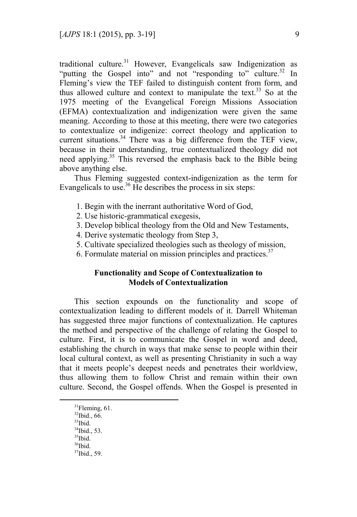traditional culture.<sup>31</sup> However, Evangelicals saw Indigenization as "putting the Gospel into" and not "responding to" culture.<sup>32</sup> In Fleming's view the TEF failed to distinguish content from form, and thus allowed culture and context to manipulate the text.<sup>33</sup> So at the 1975 meeting of the Evangelical Foreign Missions Association (EFMA) contextualization and indigenization were given the same meaning. According to those at this meeting, there were two categories to contextualize or indigenize: correct theology and application to current situations.<sup>34</sup> There was a big difference from the TEF view, because in their understanding, true contextualized theology did not need applying.<sup>35</sup> This reversed the emphasis back to the Bible being above anything else.

Thus Fleming suggested context-indigenization as the term for Evangelicals to use.<sup>36</sup> He describes the process in six steps:

- 1. Begin with the inerrant authoritative Word of God,
- 2. Use historic-grammatical exegesis,
- 3. Develop biblical theology from the Old and New Testaments,
- 4. Derive systematic theology from Step 3,
- 5. Cultivate specialized theologies such as theology of mission,
- 6. Formulate material on mission principles and practices. $37$

## **Functionality and Scope of Contextualization to Models of Contextualization**

This section expounds on the functionality and scope of contextualization leading to different models of it. Darrell Whiteman has suggested three major functions of contextualization. He captures the method and perspective of the challenge of relating the Gospel to culture. First, it is to communicate the Gospel in word and deed, establishing the church in ways that make sense to people within their local cultural context, as well as presenting Christianity in such a way that it meets people's deepest needs and penetrates their worldview, thus allowing them to follow Christ and remain within their own culture. Second, the Gospel offends. When the Gospel is presented in

- 32Ibid., 66.
- $33$ Ibid.
- $34$ Ibid., 53.  $35$ <sup>35</sup>Ibid.
- $36$ Ibid.

 $31$ Fleming, 61.

<sup>37</sup>Ibid., 59.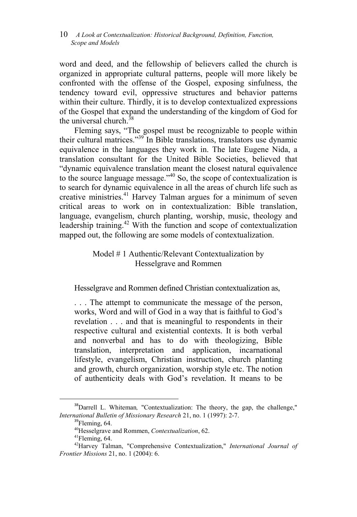word and deed, and the fellowship of believers called the church is organized in appropriate cultural patterns, people will more likely be confronted with the offense of the Gospel, exposing sinfulness, the tendency toward evil, oppressive structures and behavior patterns within their culture. Thirdly, it is to develop contextualized expressions of the Gospel that expand the understanding of the kingdom of God for the universal church. $38$ 

Fleming says, "The gospel must be recognizable to people within their cultural matrices."39 In Bible translations, translators use dynamic equivalence in the languages they work in. The late Eugene Nida, a translation consultant for the United Bible Societies, believed that "dynamic equivalence translation meant the closest natural equivalence to the source language message."40 So, the scope of contextualization is to search for dynamic equivalence in all the areas of church life such as creative ministries.41 Harvey Talman argues for a minimum of seven critical areas to work on in contextualization: Bible translation, language, evangelism, church planting, worship, music, theology and leadership training.<sup>42</sup> With the function and scope of contextualization mapped out, the following are some models of contextualization.

# Model # 1 Authentic/Relevant Contextualization by Hesselgrave and Rommen

Hesselgrave and Rommen defined Christian contextualization as,

. . . The attempt to communicate the message of the person, works, Word and will of God in a way that is faithful to God's revelation . . . and that is meaningful to respondents in their respective cultural and existential contexts. It is both verbal and nonverbal and has to do with theologizing, Bible translation, interpretation and application, incarnational lifestyle, evangelism, Christian instruction, church planting and growth, church organization, worship style etc. The notion of authenticity deals with God's revelation. It means to be

 <sup>38</sup>Darrell L. Whiteman*,* "Contextualization: The theory, the gap, the challenge," *International Bulletin of Missionary Research* 21, no. 1 (1997): 2-7.

 $\mathrm{^{39}F}$ leming, 64.

<sup>&</sup>lt;sup>40</sup>Hesselgrave and Rommen, *Contextualization*, 62.<br><sup>41</sup>Fleming, 64.

<sup>42</sup>Harvey Talman, "Comprehensive Contextualization," *International Journal of Frontier Missions* 21, no. 1 (2004): 6.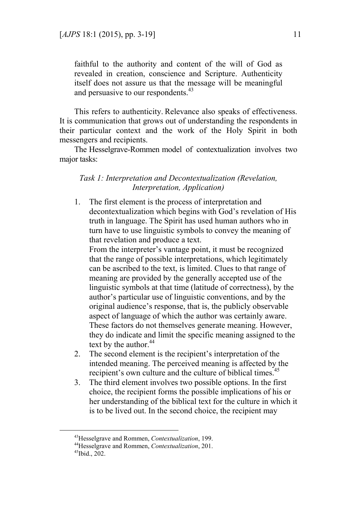faithful to the authority and content of the will of God as revealed in creation, conscience and Scripture. Authenticity itself does not assure us that the message will be meaningful and persuasive to our respondents.<sup>43</sup>

This refers to authenticity. Relevance also speaks of effectiveness. It is communication that grows out of understanding the respondents in their particular context and the work of the Holy Spirit in both messengers and recipients.

The Hesselgrave-Rommen model of contextualization involves two major tasks:

## *Task 1: Interpretation and Decontextualization (Revelation, Interpretation, Application)*

1. The first element is the process of interpretation and decontextualization which begins with God's revelation of His truth in language. The Spirit has used human authors who in turn have to use linguistic symbols to convey the meaning of that revelation and produce a text.

From the interpreter's vantage point, it must be recognized that the range of possible interpretations, which legitimately can be ascribed to the text, is limited. Clues to that range of meaning are provided by the generally accepted use of the linguistic symbols at that time (latitude of correctness), by the author's particular use of linguistic conventions, and by the original audience's response, that is, the publicly observable aspect of language of which the author was certainly aware. These factors do not themselves generate meaning. However, they do indicate and limit the specific meaning assigned to the text by the author. $44$ 

- 2. The second element is the recipient's interpretation of the intended meaning. The perceived meaning is affected by the recipient's own culture and the culture of biblical times.<sup>45</sup>
- 3. The third element involves two possible options. In the first choice, the recipient forms the possible implications of his or her understanding of the biblical text for the culture in which it is to be lived out. In the second choice, the recipient may

<sup>&</sup>lt;sup>43</sup>Hesselgrave and Rommen, *Contextualization*, 199.<br><sup>44</sup>Hesselgrave and Rommen, *Contextualization*, 201.<br><sup>45</sup>Ibid., 202.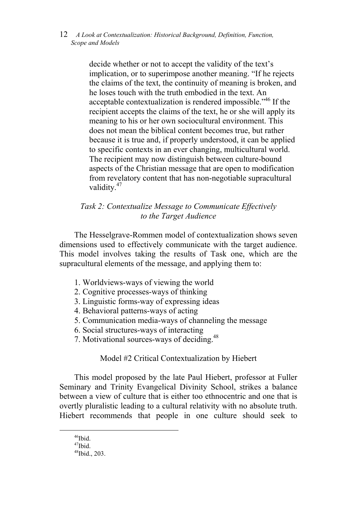> decide whether or not to accept the validity of the text's implication, or to superimpose another meaning. "If he rejects the claims of the text, the continuity of meaning is broken, and he loses touch with the truth embodied in the text. An acceptable contextualization is rendered impossible.<sup>346</sup> If the recipient accepts the claims of the text, he or she will apply its meaning to his or her own sociocultural environment. This does not mean the biblical content becomes true, but rather because it is true and, if properly understood, it can be applied to specific contexts in an ever changing, multicultural world. The recipient may now distinguish between culture-bound aspects of the Christian message that are open to modification from revelatory content that has non-negotiable supracultural validity.<sup>47</sup>

# *Task 2: Contextualize Message to Communicate Effectively to the Target Audience*

The Hesselgrave-Rommen model of contextualization shows seven dimensions used to effectively communicate with the target audience. This model involves taking the results of Task one, which are the supracultural elements of the message, and applying them to:

- 1. Worldviews-ways of viewing the world
- 2. Cognitive processes-ways of thinking
- 3. Linguistic forms-way of expressing ideas
- 4. Behavioral patterns-ways of acting
- 5. Communication media-ways of channeling the message
- 6. Social structures-ways of interacting
- 7. Motivational sources-ways of deciding.<sup>48</sup>

Model #2 Critical Contextualization by Hiebert

This model proposed by the late Paul Hiebert, professor at Fuller Seminary and Trinity Evangelical Divinity School, strikes a balance between a view of culture that is either too ethnocentric and one that is overtly pluralistic leading to a cultural relativity with no absolute truth. Hiebert recommends that people in one culture should seek to

<sup>&</sup>lt;sup>46</sup>Ibid.

 $47$ Ibid.

<sup>48</sup>Ibid., 203.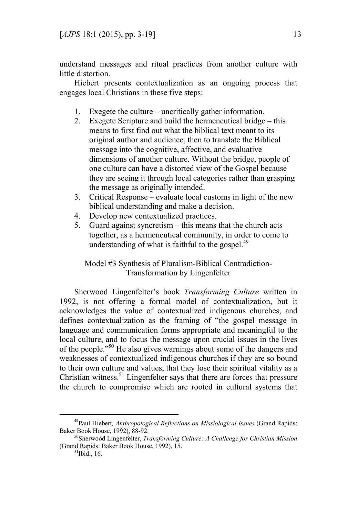understand messages and ritual practices from another culture with little distortion.

Hiebert presents contextualization as an ongoing process that engages local Christians in these five steps:

- 1. Exegete the culture uncritically gather information.
- 2. Exegete Scripture and build the hermeneutical bridge this means to first find out what the biblical text meant to its original author and audience, then to translate the Biblical message into the cognitive, affective, and evaluative dimensions of another culture. Without the bridge, people of one culture can have a distorted view of the Gospel because they are seeing it through local categories rather than grasping the message as originally intended.
- 3. Critical Response evaluate local customs in light of the new biblical understanding and make a decision.
- 4. Develop new contextualized practices.
- 5. Guard against syncretism this means that the church acts together, as a hermeneutical community, in order to come to understanding of what is faithful to the gospel. $^{49}$

Model #3 Synthesis of Pluralism-Biblical Contradiction-Transformation by Lingenfelter

Sherwood Lingenfelter's book *Transforming Culture* written in 1992, is not offering a formal model of contextualization, but it acknowledges the value of contextualized indigenous churches, and defines contextualization as the framing of "the gospel message in language and communication forms appropriate and meaningful to the local culture, and to focus the message upon crucial issues in the lives of the people."50 He also gives warnings about some of the dangers and weaknesses of contextualized indigenous churches if they are so bound to their own culture and values, that they lose their spiritual vitality as a Christian witness.<sup>51</sup> Lingenfelter says that there are forces that pressure the church to compromise which are rooted in cultural systems that

 <sup>49</sup>Paul Hiebert*, Anthropological Reflections on Missiological Issues* (Grand Rapids: Baker Book House, 1992), 88-92.

<sup>50</sup>Sherwood Lingenfelter, *Transforming Culture: A Challenge for Christian Mission* (Grand Rapids: Baker Book House, 1992), 15.<br> $51$ Ibid., 16.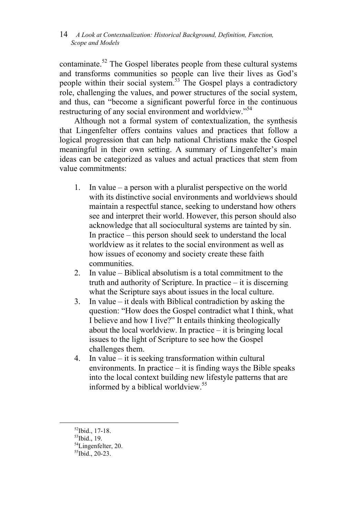contaminate.<sup>52</sup> The Gospel liberates people from these cultural systems and transforms communities so people can live their lives as God's people within their social system.<sup>53</sup> The Gospel plays a contradictory role, challenging the values, and power structures of the social system, and thus, can "become a significant powerful force in the continuous restructuring of any social environment and worldview."54

Although not a formal system of contextualization, the synthesis that Lingenfelter offers contains values and practices that follow a logical progression that can help national Christians make the Gospel meaningful in their own setting. A summary of Lingenfelter's main ideas can be categorized as values and actual practices that stem from value commitments:

- 1. In value a person with a pluralist perspective on the world with its distinctive social environments and worldviews should maintain a respectful stance, seeking to understand how others see and interpret their world. However, this person should also acknowledge that all sociocultural systems are tainted by sin. In practice – this person should seek to understand the local worldview as it relates to the social environment as well as how issues of economy and society create these faith communities.
- 2. In value Biblical absolutism is a total commitment to the truth and authority of Scripture. In practice – it is discerning what the Scripture says about issues in the local culture.
- 3. In value it deals with Biblical contradiction by asking the question: "How does the Gospel contradict what I think, what I believe and how I live?" It entails thinking theologically about the local worldview. In practice – it is bringing local issues to the light of Scripture to see how the Gospel challenges them.
- 4. In value it is seeking transformation within cultural environments. In practice – it is finding ways the Bible speaks into the local context building new lifestyle patterns that are informed by a biblical worldview.<sup>55</sup>

 $\overline{a}$ 

<sup>52</sup>Ibid., 17-18.

 $53$ Ibid., 19.

<sup>54</sup>Lingenfelter, 20.

 $55$ Ibid., 20-23.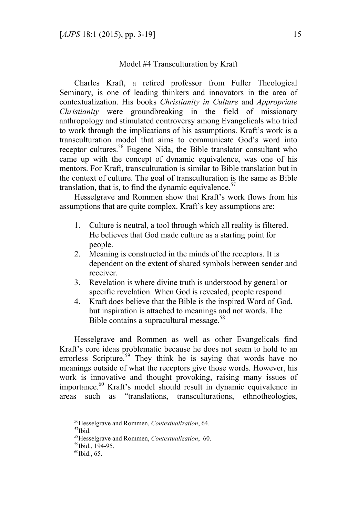### Model #4 Transculturation by Kraft

Charles Kraft, a retired professor from Fuller Theological Seminary, is one of leading thinkers and innovators in the area of contextualization. His books *Christianity in Culture* and *Appropriate Christianity* were groundbreaking in the field of missionary anthropology and stimulated controversy among Evangelicals who tried to work through the implications of his assumptions. Kraft's work is a transculturation model that aims to communicate God's word into receptor cultures.<sup>56</sup> Eugene Nida, the Bible translator consultant who came up with the concept of dynamic equivalence, was one of his mentors. For Kraft, transculturation is similar to Bible translation but in the context of culture. The goal of transculturation is the same as Bible translation, that is, to find the dynamic equivalence. $57$ 

Hesselgrave and Rommen show that Kraft's work flows from his assumptions that are quite complex. Kraft's key assumptions are:

- 1. Culture is neutral, a tool through which all reality is filtered. He believes that God made culture as a starting point for people.
- 2. Meaning is constructed in the minds of the receptors. It is dependent on the extent of shared symbols between sender and receiver.
- 3. Revelation is where divine truth is understood by general or specific revelation. When God is revealed, people respond .
- 4. Kraft does believe that the Bible is the inspired Word of God, but inspiration is attached to meanings and not words. The Bible contains a supracultural message.<sup>58</sup>

Hesselgrave and Rommen as well as other Evangelicals find Kraft's core ideas problematic because he does not seem to hold to an errorless Scripture.<sup>59</sup> They think he is saying that words have no meanings outside of what the receptors give those words. However, his work is innovative and thought provoking, raising many issues of importance.<sup>60</sup> Kraft's model should result in dynamic equivalence in areas such as "translations, transculturations, ethnotheologies,

<sup>&</sup>lt;sup>56</sup>Hesselgrave and Rommen, *Contextualization*, 64.<br><sup>57</sup>Ibid.

<sup>58</sup>Hesselgrave and Rommen, *Contextualization*, 60. 59Ibid., 194-95.

 $60$ Ibid., 65.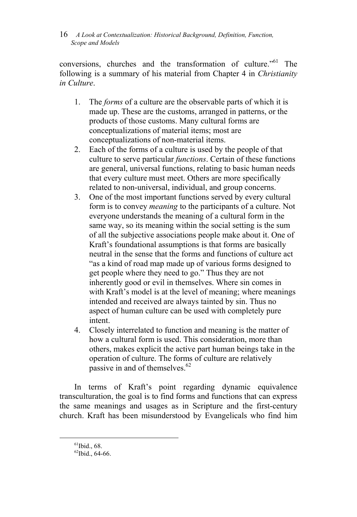conversions, churches and the transformation of culture."<sup>61</sup> The following is a summary of his material from Chapter 4 in *Christianity in Culture*.

- 1. The *forms* of a culture are the observable parts of which it is made up. These are the customs, arranged in patterns, or the products of those customs. Many cultural forms are conceptualizations of material items; most are conceptualizations of non-material items.
- 2. Each of the forms of a culture is used by the people of that culture to serve particular *functions*. Certain of these functions are general, universal functions, relating to basic human needs that every culture must meet. Others are more specifically related to non-universal, individual, and group concerns.
- 3. One of the most important functions served by every cultural form is to convey *meaning* to the participants of a culture. Not everyone understands the meaning of a cultural form in the same way, so its meaning within the social setting is the sum of all the subjective associations people make about it. One of Kraft's foundational assumptions is that forms are basically neutral in the sense that the forms and functions of culture act "as a kind of road map made up of various forms designed to get people where they need to go." Thus they are not inherently good or evil in themselves. Where sin comes in with Kraft's model is at the level of meaning; where meanings intended and received are always tainted by sin. Thus no aspect of human culture can be used with completely pure intent.
- 4. Closely interrelated to function and meaning is the matter of how a cultural form is used. This consideration, more than others, makes explicit the active part human beings take in the operation of culture. The forms of culture are relatively passive in and of themselves. $62$

In terms of Kraft's point regarding dynamic equivalence transculturation, the goal is to find forms and functions that can express the same meanings and usages as in Scripture and the first-century church. Kraft has been misunderstood by Evangelicals who find him

 ${}^{61}$ Ibid., 68.

 $62$ Ibid., 64-66.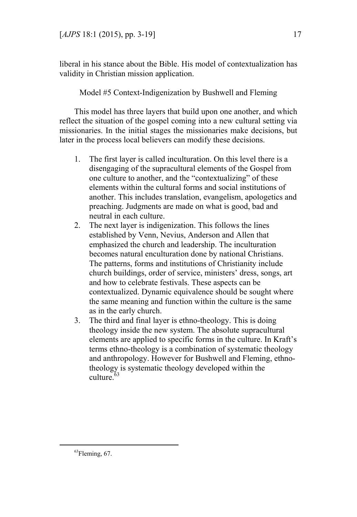liberal in his stance about the Bible. His model of contextualization has validity in Christian mission application.

Model #5 Context-Indigenization by Bushwell and Fleming

This model has three layers that build upon one another, and which reflect the situation of the gospel coming into a new cultural setting via missionaries. In the initial stages the missionaries make decisions, but later in the process local believers can modify these decisions.

- 1. The first layer is called inculturation. On this level there is a disengaging of the supracultural elements of the Gospel from one culture to another, and the "contextualizing" of these elements within the cultural forms and social institutions of another. This includes translation, evangelism, apologetics and preaching. Judgments are made on what is good, bad and neutral in each culture.
- 2. The next layer is indigenization. This follows the lines established by Venn, Nevius, Anderson and Allen that emphasized the church and leadership. The inculturation becomes natural enculturation done by national Christians. The patterns, forms and institutions of Christianity include church buildings, order of service, ministers' dress, songs, art and how to celebrate festivals. These aspects can be contextualized. Dynamic equivalence should be sought where the same meaning and function within the culture is the same as in the early church.
- 3. The third and final layer is ethno-theology. This is doing theology inside the new system. The absolute supracultural elements are applied to specific forms in the culture. In Kraft's terms ethno-theology is a combination of systematic theology and anthropology. However for Bushwell and Fleming, ethnotheology is systematic theology developed within the  $\text{culture}$ <sup>63</sup>

 $\overline{a}$ 

<sup>63</sup>Fleming, 67.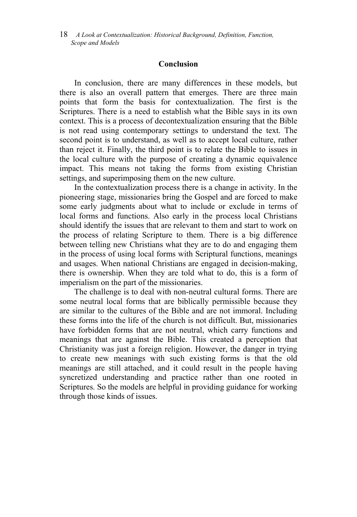## **Conclusion**

In conclusion, there are many differences in these models, but there is also an overall pattern that emerges. There are three main points that form the basis for contextualization. The first is the Scriptures. There is a need to establish what the Bible says in its own context. This is a process of decontextualization ensuring that the Bible is not read using contemporary settings to understand the text. The second point is to understand, as well as to accept local culture, rather than reject it. Finally, the third point is to relate the Bible to issues in the local culture with the purpose of creating a dynamic equivalence impact. This means not taking the forms from existing Christian settings, and superimposing them on the new culture.

In the contextualization process there is a change in activity. In the pioneering stage, missionaries bring the Gospel and are forced to make some early judgments about what to include or exclude in terms of local forms and functions. Also early in the process local Christians should identify the issues that are relevant to them and start to work on the process of relating Scripture to them. There is a big difference between telling new Christians what they are to do and engaging them in the process of using local forms with Scriptural functions, meanings and usages. When national Christians are engaged in decision-making, there is ownership. When they are told what to do, this is a form of imperialism on the part of the missionaries.

The challenge is to deal with non-neutral cultural forms. There are some neutral local forms that are biblically permissible because they are similar to the cultures of the Bible and are not immoral. Including these forms into the life of the church is not difficult. But, missionaries have forbidden forms that are not neutral, which carry functions and meanings that are against the Bible. This created a perception that Christianity was just a foreign religion. However, the danger in trying to create new meanings with such existing forms is that the old meanings are still attached, and it could result in the people having syncretized understanding and practice rather than one rooted in Scriptures. So the models are helpful in providing guidance for working through those kinds of issues.